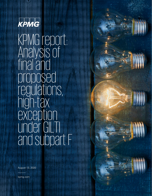

KPMG report: Analysis of final and proposed regulations, high-tax exception under GILTI and subpart F

August 13, 2020

kpmg.com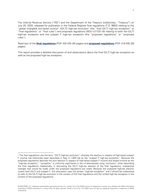The Internal Revenue Service ("IRS") and the Department of the Treasury (collectively, "Treasury") on July 20, 2020, released for publication in the Federal Register final regulations (T.D. 9902) relating to the "global intangible low-taxed income" (GILTI) high-tax exclusion<sup>[1](#page-1-0)</sup> (the "final GILTI high-tax exception" or "final regulations" or "final rules") and proposed regulations (REG-127732-19) relating to both the GILTI high-tax exception and the subpart F high-tax exception (the "proposed regulations" or "proposed rules").

Read text of the **[final regulations](https://www.govinfo.gov/content/pkg/FR-2020-07-23/pdf/2020-15351.pdf)** [PDF 434 KB] (30 pages) and **[proposed regulations](https://www.govinfo.gov/content/pkg/FR-2020-07-23/pdf/2020-15349.pdf)** [PDF 418 KB] (26 pages).

This report provides a detailed discussion of and observations about the final GILTI high-tax exception as well as the proposed high-tax exception.

l

<span id="page-1-0"></span><sup>1</sup> The final regulations use the term "GILTI high-tax exclusion" whereas the election in respect of high-taxed subpart F income has historically been described in Reg. § 1.954-1(d) as the "subpart F high-tax exception." Because the proposed regulations describe the joint election in respect of high-taxed subpart F income and tested income as the "high-tax exception," "exception" is uniformly used herein in lieu of alternatively using "exclusion" when describing the final regulations. Additionally, in discussing the GILTI high-tax election of the final regulations, substantive changes that would be made under the proposed regulations are noted. Because the proposed high-tax election covers both GILTI and subpart F, this discussion uses the phrase "high-tax exception" and it should be understood to refer to the GILTI high-tax exclusion in the context of the final regulations and the unified high-tax exception in the context of the proposed regulations.

<sup>© 2020</sup> KPMG LLP, a Delaware limited liability partnership and the U.S. member firm of the KPMG network of independent member firms affiliated with KPMG International Cooperative ("KPMG International"), a Swiss entity. All rights reserved. Printed in the U.S.A. The KPMG name and logo are registered trademarks or trademarks of KPMG International.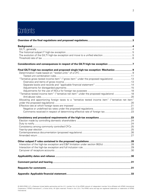# **Contents**

| Considerations and consequences in respect of the GILTI high-tax exception 7                        |  |
|-----------------------------------------------------------------------------------------------------|--|
| Final GILTI high-tax exception and proposed single high-tax exception: Mechanics  9                 |  |
|                                                                                                     |  |
|                                                                                                     |  |
| "Tentative gross tested income item" ("gross item" under the proposed regulations) 13               |  |
|                                                                                                     |  |
|                                                                                                     |  |
|                                                                                                     |  |
|                                                                                                     |  |
| "Tentative tested income item" ("tentative net item" under the proposed regulations)  18            |  |
|                                                                                                     |  |
| Allocating and apportioning foreign taxes to a "tentative tested income item" ("tentative net item" |  |
|                                                                                                     |  |
|                                                                                                     |  |
|                                                                                                     |  |
| Comments received in respect of determining effective rate of foreign tax23                         |  |
|                                                                                                     |  |
|                                                                                                     |  |
|                                                                                                     |  |
|                                                                                                     |  |
|                                                                                                     |  |
|                                                                                                     |  |
|                                                                                                     |  |
|                                                                                                     |  |
|                                                                                                     |  |
|                                                                                                     |  |
|                                                                                                     |  |
|                                                                                                     |  |
|                                                                                                     |  |
|                                                                                                     |  |
|                                                                                                     |  |
|                                                                                                     |  |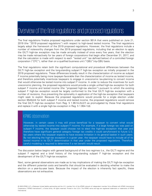# <span id="page-3-0"></span>Overview of the final regulations and proposed regulations

The final regulations finalize proposed regulations under section 951A that were published on June 21, 2019 (the "2019 proposed regulations") with respect to high-taxed tested income. The final regulations largely adopt the framework of the 2019 proposed regulations. However, the final regulations include a number of noteworthy changes from the 2019 proposed regulations, including that an election to apply the GILTI high-tax exception may be made annually instead of once every five years, that the election may be made retroactively for tax years of foreign corporations that begin after December 31, 2017, and that the calculation is made with respect to each "tested unit" (as defined below) of a controlled foreign corporation ("CFC"), rather than on a qualified business unit ("QBU")-by-QBU basis.

The final regulations retain both the significant computational and procedural differences between the GILTI high-tax exception and the long-standing subpart F high-tax exception as initially proposed in the 2019 proposed regulations. These differences broadly result in the characterization of income as subpart F income potentially being more taxpayer-favorable than the characterization of income as tested income, and therefore potentially incentivize taxpayers to engage in uneconomic tax-planning to convert income that would otherwise be tested income into subpart F income. In order to reduce the incentives for such uneconomic planning, the proposed regulations would provide a single unified high-tax exception for both subpart F income and tested income (the "proposed high-tax election") pursuant to which the existing subpart F high-tax exception would be largely conformed to the final GILTI high-tax exception with a number of revisions, thus preventing the optionality in application of the high-tax exception that taxpayers might seek to exploit. Because the proposed regulations would provide for a single election under section 954(b)(4) for both subpart F income and tested income, the proposed regulations would remove the final GILTI high-tax exception from Reg. § 1.951A-2(c)(7) as promulgated by these final regulations and replace it with a single high-tax exception in Reg. § 1.954-1(d).

# KPMG observation

However, in certain cases it may still prove beneficial for a taxpayer to convert what would otherwise by tested income into subpart F income. For example, if a large foreign tax was paid on subpart F income, the taxpayer could choose not to elect the high-tax exception that year and therefore have significant general category foreign tax credits it could carryforward to future U.S. tax years where the taxpayer expects to have excess limitation in its general basket in such years. By not electing the high-tax exception in a given year, the taxpayer would have to include all of its tested income in its GILTI determination in that year under the proposed regulations. Therefore, careful modeling is required to determine if a net benefit would result.

The discussion below begins with general background of the two regimes (i.e., the GILTI regime and the subpart F regime) and a brief history of the long-standing subpart F high-tax exception and the development of the GILTI high-tax exception.

Next, some general observations are made as to key implications of making the GILTI high-tax exception and the different potential costs and benefits that should be evaluated in deciding whether to make the election on a year-by-year basis. Because the impact of the election is inherently fact specific, these observations are not exhaustive.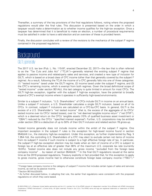Thereafter, a summary of the key provisions of the final regulations follows, noting where the proposed regulations would alter the final rules. This discussion is presented based on the order in which a taxpayer would make a determination as to whether income qualifies for the high-tax exception. Once a taxpayer has determined that it is beneficial to make an election, a number of procedural requirements must be satisfied in order to have a valid election and an overview of these is provided herein.

Finally, the discussion concludes with a review of the revisions to the mechanics of the subpart F regime contained in the proposed regulations.

# <span id="page-4-0"></span>**Background**

#### <span id="page-4-1"></span>GILTI, generally

The 2017 U.S. tax law (Pub. L. No. 115-97, enacted December 22, 2017)—the law that is often referred to as the "Tax Cuts and Jobs Act" ("TCJA")—generally retained the existing subpart F regime that applies to passive income and related-party sales and services, and created a new type of inclusion for GILTI, which is based on a broad class of CFC income (other than that generally covered by the subpart F regime). As a result, following the TCJA the income of a CFC generally falls into one of three categories: (1) "tested income" taxed under the GILTI regime, (2) income taxed under the subpart F regime, and (3) the CFC's remaining income, which is exempt from both regimes. Given the broad definitional scope of "tested income" under section 951A(c), this last category is quite limited in amount for most CFCs. The GILTI high-tax exception, together with the subpart F high-tax exception, have the potential to broadly expand a CFC's exempt income where it operates in sufficiently high-taxed environments.

Similar to a subpart F inclusion, "U.S. Shareholders" of CFCs include GILTI in income on an annual basis. Unlike a subpart F inclusion, a U.S. Shareholder calculates a single GILTI inclusion, based on all of its CFCs. In contrast, subpart F inclusions are calculated on a CFC-by-CFC basis. In general, GILTI is the excess of a U.S. Shareholder's "net tested income" (that is, the excess of the aggregate of its CFCs' tested income over its CFCs' tested losses), over its "net deemed tangible income return" ("net DTIR"), which is a deemed return on the CFCs' tangible assets (10% of qualified business asset investment or "QBAI") reduced by the CFCs' "specified interest expense"). Further, U.S. corporations may be entitled under section 250 to a deduction of up to 50% of their GILTI inclusion and related section 78 gross-up.

Tested income generally does not include income within the ambit of the subpart F regime. One important exception in the subpart F rules is the exception for high-taxed income found in section 954(b)(4) (i.e., the statutory high-tax exception). Under this exception, as further implemented by Reg. § 1.954-1(d), the controlling U.S. Shareholders of a CFC may elect to exclude certain net items of income from its subpart F income if such income is subject to a high effective foreign rate of tax. In particular, the subpart F high-tax exception election may be made when an item of income of a CFC is subject to foreign tax at an effective rate of greater than 90% of the maximum U.S. corporate tax rate (currently 18.9%). Tested income also does not include any gross income "excluded from the foreign base company income<sup>[2](#page-4-2)</sup> ... by reason of section  $954(b)(4)$ ."<sup>[3](#page-4-3)</sup> In the final GILTI regulations issued at the same time as the 2019 proposed regulations, Treasury explicitly in fact provided that, for this exception to apply to gross income, gross income had to otherwise constitute foreign base company income ("FBCI").<sup>[4](#page-4-4)</sup>

 $\overline{a}$ 

<span id="page-4-2"></span><sup>&</sup>lt;sup>2</sup> Foreign base company income is the category of subpart F income that includes certain types of sales and services income, as well as its passive income.

<span id="page-4-3"></span><sup>3</sup> Section 951A(c)(2)(i)(III).

<span id="page-4-4"></span><sup>4</sup> As further discussed below, in adopting that rule, the earlier final regulations were consistent with the proposed regulations on which they were based.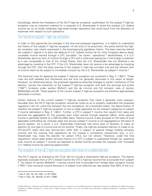Accordingly, before the finalization of the GILTI high-tax exception, qualification for the subpart F high-tax exception was an important method for a corporate U.S. Shareholder to avoid the residual U.S. federal income tax on its locally (relatively) high-taxed foreign operations that could result from the allocation of expenses with respect to such operations.

### <span id="page-5-0"></span>The historical subpart F high-tax exception

In order to fully appreciate the changes in the final and proposed regulations, it is helpful to understand the history of the subpart F high-tax exception. At the time of its enactment, the policy behind the hightax exception was clearly expressed in the accompanying legislative history. The basic premise behind the subpart F regime is to deny the deferral of U.S. federal income tax for what Congress deems easily moveable income earned through a CFC (so-called "tax haven" operations).<sup>[5](#page-5-2)</sup> Nevertheless, if a U.S. Shareholder earns an item of income through a CFC and is otherwise paying tax in the foreign jurisdiction at a rate comparable to that of the United States, then the U.S. Shareholder has not obtained a tax advantage by investing in the CFC. If the U.S. Shareholder does not receive a tax advantage by investing through the CFC, then the basic premise of the subpart F rules has not been met and the relevant item of income need not be subject to immediate inclusion by the U.S. Shareholder as subpart F income.<sup>[6](#page-5-3)</sup>

The historical rules for applying the subpart F high-tax exception are contained in Reg. § 1.954-1. These rules are both detailed and mechanical and are thus not generally discussed in this report at length. However, as referenced above, the proposed regulations prescribe changes to certain mechanics of this election, namely the interaction of the subpart F high-tax exception with both the earnings and profits ("E&P") limitation under section 952(c)(1) and the de minimis and full inclusion rules of section 954(b)(3)(A) and (B). These aspects of the current subpart F high-tax exception are therefore appropriately discussed in context.

Certain features of the current subpart F high-tax exception that make it generally more taxpayerfavorable than the GILTI high-tax exception should be noted so as to properly understand the proposed regulation's aim for uniformity between the two exceptions. As a threshold matter, the determination of whether the subpart F high-tax exception is met is made separately for the relevant categories of subpart F income delineated in Reg. § 1.954-1. Further, a CFC's subpart F income that results from sales and services are aggregated for this purpose even when earned through separate QBUs, while passive income is generally tested on a QBU-by-QBU basis. Passive income is also grouped on the basis of local applicable withholding tax whereas sales and service subpart F income is not segregated on the basis of source taxation. As a result, a U.S. Shareholder historically had some level of flexibility to make an election for one type of income and not for another. Finally, the high-tax exception election is made on an CFC-by-CFC basis (and also item-by-item other than in respect of passive foreign holding company income) and the existing final regulations do not impose a consistency requirement (e.g., a U.S. Shareholder may make the election for certain CFCs, but not others). Therefore, under the final regulations, where sales and/or services income of a CFC is subject to substantial foreign tax, qualifying such income as subpart F income (as opposed to tested income) provides the taxpayer with increased U.S. federal income tax planning opportunities.

#### <span id="page-5-1"></span>The evolution of the GILTI high-tax exceptionand move to a unified election

The GILTI regime, as enacted by the TCJA, did not include a stand-alone high-tax exception. The statute expressly excludes from a CFC's tested income the CFC's high-tax income that is excluded from subpart F "by reason of section 954(b)(4)"—namely income that is excluded from foreign base company income ("FBCI") and insurance income because it is subject to an effective tax rate greater than 90% of the U.S.

 $\overline{\phantom{a}}$ 

<span id="page-5-2"></span><sup>5</sup> See S. Rpt. No. 87-1881, at 79 (1962).

<span id="page-5-3"></span><sup>6</sup> See H. Rep. No. 99-426, at 401 (1986).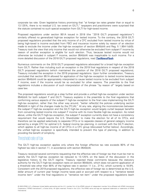corporate tax rate. Given legislative history promising that "at foreign tax rates greater than or equal to 13.125%, there is no residual U.S. tax owed on GILTI," taxpayers and practitioners were surprised that the statute contained no such special exception from GILTI for high-taxed income.

Proposed regulations under section 951A issued in 2018 (the "2018 GILTI proposed regulations") similarly offered no generalized high-tax exception for tested income. To the contrary, the 2018 GILTI proposed regulations provided that the only income of a CFC excluded from tested income by virtue of being high-taxed is income excluded from FBCI and insurance income solely by reason of an election made to exclude the income under the high-tax exception of section 954(b)(4) and Reg. § 1.954-1(d)(5). Treasury took the view that only income that would not otherwise be excluded from subpart F income by reason of another exception is eligible for such election. Thus, because tested income would not otherwise be included in subpart F income, section 954(b)(4) was inapplicable to such income. For a more detailed discussion of the 2018 GILTI proposed regulations, read **[TaxNewsFlash](https://home.kpmg/us/en/home/insights/2018/10/tnf-kpmg-report-initial-impressions-of-proposed-gilti-regulations.html)**.

Numerous comments on the 2018 GILTI proposed regulations advocated for a broad high-tax exception from GILTI. Rather than including such an exception in the 2019 final regulations in respect of the 2018 GILTI proposed regulations (which maintained the position of the 2018 GILTI proposed regulations), Treasury included the exception in the 2019 proposed regulations. Upon further consideration, Treasury concluded that section 951A allowed for application of the high-tax exception to tested income because section 954(b)(4) could be appropriately interpreted to cause tested income to be excluded from subpart F income, even if the income would be so excluded for other reasons. The preamble to the final regulations includes a discussion of such interpretation of the phrase "by reason of" largely based on case law.

The proposed regulations would go a step further and provide a unified high-tax exception under section 954(b)(4) for both subpart F and GILTI. Treasury explains in the preamble to the final regulations that conforming various aspects of the subpart F high-tax exception to the final rules implementing the GILTI high-tax exception, rather than the other way around, "better reflect[s] the policies underlying section 954(b)(4) in light of the changes made by the [TCJA]." At any rate, aligning the inconsistencies between the subpart F high-tax exception and the GILTI high-tax exception would largely curtail taxpayer benefits from converting tested income into subpart F income with its more flexible high-tax exception. As noted above, unlike the GILTI high-tax exception, the subpart F exception currently does not have a consistency requirement that would require the U.S. Shareholder to make the election for all of its CFCs, and therefore can be applied selectively to separate CFCs or to separate classes of general category income earned by a single CFC for optimal U.S. federal income tax planning, in contrast with the GILTI election, which applies to all high-tax income of all CFCs in a CFC group (discussed further below). Accordingly, the unified high-tax exception is specifically intended to prevent this type of planning, in addition to providing the benefit of simplicity.

### <span id="page-6-0"></span>Threshold rate of tax

The GILTI high-tax exception applies only where the foreign effective tax rate exceeds 90% of the highest tax rate in section 11, in accordance with section 954(b)(4).

Treasury received several comments requesting that the effective rate of foreign tax that must be met to satisfy the GILTI high-tax exception be reduced to 13.125% on the basis of the discussion in the legislative history to the GILTI regime. Treasury rejected these comments because the statutory authority for the GILTI high-tax exception rests on section 954(b)(4), which does not permit application of a threshold rate other than 90% of the highest rate in section 11 (i.e., 21%), which currently is 18.9%. Consistent with the 2019 proposed regulations, the effective rate of foreign tax is determined as the U.S. dollar amount of current year foreign income taxes paid or accrued with respect to a "tentative tested income item" under the final regulations or "tentative net item" under the proposed regulations (each

<sup>© 2020</sup> KPMG LLP, a Delaware limited liability partnership and the U.S. member firm of the KPMG network of independent member firms affiliated with KPMG International Cooperative ("KPMG International"), a Swiss entity. All rights reserved. Printed in the U.S.A. The KPMG name and logo are registered trademarks or trademarks of KPMG International.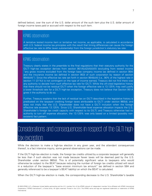defined below), over the sum of the U.S. dollar amount of the such item plus the U.S. dollar amount of foreign income taxes paid or accrued with respect to the such item.

### KPMG observation

A tentative tested income item or tentative net income, as applicable, is calculated in accordance with U.S. federal income tax principles with the result that timing differences can cause the foreign effective tax rate to differ (even substantially) from the foreign jurisdiction's statutory tax rate.

### KPMG observation

Treasury clearly states in the preamble to the final regulations that their statutory authority for the GILTI high-tax exception derives from section 951A(c)(2)(A)(i)(III) (excluding from tested income "any gross income excluded from the foreign base company income (as defined in section 954) and the insurance income (as defined in section 953) of such corporation by reason of section 954(b)(4)"). Since the effective tax rate set forth in section 954(b)(4) (i.e., 90% of the highest rate in section 11 (21%)) is not contingent on the type of income earned, Treasury did not find there was any authority to deviate from such effective tax rate for GILTI. While the oft-cited legislative history that there should not be residual GILTI when the foreign effective rate is 13.125% may well justify a lower threshold rate for a GILTI high-tax exception, Treasury does not believe that Section 951A gives it the authority to do so.

Further, Treasury explains that the lack of residual tax on GILTI described in the legislative history is predicated on the taxpayer crediting foreign taxes attributable to GILTI under section 960(d), and does not imply that the U.S. Shareholder does not have a GILTI inclusion when the foreign effective rate exceeds 13.125%. Since U.S. Shareholder-level expense allocation impacts the U.S. Shareholder's foreign tax credit capacity with respect to its GILTI, and Treasury otherwise had no authority to turn off expense allocation, the 13.125% was only based on a limited (possibly nonexistent) fact pattern.

# <span id="page-7-0"></span>Considerations and consequences in respect of the GILTI hightax exception

While the decision to make a high-tax election in any given year, and the attendant consequences thereof, is a fact intensive inquiry, some general observations can be made.

If the GILTI high-tax election is made, the foreign tax credits utilized by a corporate taxpayer will generally be less than if such election was not made because fewer taxes will be deemed paid by the U.S. Shareholder under section 960(d). This is of potentially significant value to taxpayers who would otherwise be subject to the BEAT because reducing the number of foreign tax credits utilized will result in a reduction of the taxpayer's "base erosion minimum tax amount" (as defined in section 59A and generally referenced to be a taxpayer's BEAT liability) on which the BEAT is calculated.

When the GILTI high-tax election is made, the corresponding decrease to the U.S. Shareholder's taxable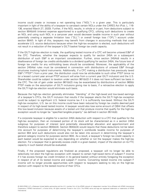income could create or increase a net operating loss ("NOL") in a given year. This is particularly important in light of the ability of a taxpayer to carryback certain NOLs under the CARES Act (Pub. L. 116- 136, enacted March 27, 2020). Further, if the NOL results, in whole or in part, from deductions subject to section 904(b)(4) (interest expense apportioned to a qualifying CFC), utilizing such deductions to create an NOL and using such NOL in a carryover year would decrease taxable income in such year without potentially creating a separate limitation loss ("SLL") or overall foreign loss ("OFL") account under section 904(f). In light of this, taxpayers may benefit from changes in accounting methods that could accelerate U.S. source deductions because when the high-tax exception is elected, such deductions will not result in a reduction of the taxpayer's GILTI basket foreign tax credit capacity.

If the GILTI high-tax election is made, the qualifying tested income of a CFC will become untaxed E&P of the CFC. Therefore, whether the taxpayer expects to qualify for section 245A on a subsequent distribution of such E&P is an important consideration. Further, since section 245A(d) results in a disallowance of foreign tax credits attributable to a dividend qualifying for section 245A, the future loss of foreign tax credits for any withholding taxes should be considered. Moreover, the applicability of the section 245A(e) rules must be considered in connection with distributions of untaxed E&P through structures involving hybrid instruments. Additionally, if a CFC making a distribution has previously taxed E&P ("PTEP") from a prior year, the distribution could now be attributable to such other PTEP (since no (or a lesser) current year annual PTEP account will arise from a current year GILTI inclusion) and the U.S. Shareholder could be subject to taxation under section 961(b)(2) if it does not have sufficient tax basis in the CFC. The risk of gain under section 961(b)(2) may be exacerbated by distributions of section 965(b) PTEP made on the assumption of GILTI inclusions giving rise to basis, if a retroactive election to apply the GILTI high-tax election would eliminate such basis.

Because the high-tax election generally eliminates "blending" of the high-taxed and low-taxed earnings of a taxpayer's CFCs, the GILTI inclusion that results if the taxpayer elects the GILTI high-tax exception could be subject to significant U.S. federal income tax if it is sufficiently low-taxed. Without the GILTI high-tax exception, U.S. tax on this income could have been reduced by foreign tax credits deemed paid in respect of its high-taxed tested income. A taxpayer would also lose some amount of QBAI that offsets this low-taxed inclusion because assets of a tested unit that produce income that qualify for the high-tax exception would no longer be "specified tangible property" (as defined in section 951A(d)).

If a corporate taxpayer is eligible for a section 245A deduction with respect to a CFC that qualifies for the high-tax exception, then an increased portion of its stock will be characterized as in a section 245A subgroup for purposes of interest (and potentially stewardship) allocation and apportionment and therefore subject to section 904(b)(4). Section 904(b)(4) would require that these deductions not be taken into account for purposes of determining the taxpayer's worldwide taxable income for purposes of section 904 (and such deductions would also not be taken into account in determining the taxpayer's general category income for purposes section 904). As a result, a taxpayer's foreign tax credit capacity in each basket would be expected to vary depending on whether or not the taxpayer makes the high-tax election. For a taxpayer that is generally excess credit in a given basket, impact of the election on its FTC capacity in such basket should be evaluated.

Finally, if the proposed regulations are finalized as proposed, a taxpayer will no longer be able to selectively not elect the high-tax exception with respect to certain high-taxed items of subpart F income if it has excess foreign tax credit limitation in its general basket without entirely foregoing the exception in respect of all of its tested income and subpart F income. Converting tested income into subpart F income will no longer provide opportunities with respect to taxpayers seeking to rely on the high-tax election with respect to the tested income of their CFCs.

<sup>© 2020</sup> KPMG LLP, a Delaware limited liability partnership and the U.S. member firm of the KPMG network of independent member firms affiliated with KPMG International Cooperative ("KPMG International"), a Swiss entity. All rights reserved. Printed in the U.S.A. The KPMG name and logo are registered trademarks or trademarks of KPMG International.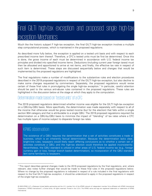# <span id="page-9-0"></span>Final GILTI high-tax exception and proposed single high-tax exception: Mechanics

Much like the historic subpart F high-tax exception, the final GILTI high-tax exception involves a multiple step computational process, which is maintained in the proposed regulations.

As described more fully below, the exception is applied on a tested unit basis and with respect to each prescribed income item thereof. Therefore, a CFC's tested units must be first be determined. Once this is done, the gross income of each must be determined in accordance with U.S. federal income tax principles and divided into specified income items. Deductions (including current year foreign taxes) must then be allocated and apportioned to arrive at net items, and finally, the effective tax rate in respect of such item is determined. These steps are discussed sequentially below and changes that would be implemented by the proposed regulations are highlighted.

The final regulations make a number of modifications to the substantive rules and election procedures described in the 2019 proposed regulations in respect of the GILTI high-tax exception, but also decline to make some changes requested by commenters. Separately, the proposed regulations would revise certain of these final rules in promulgating the single high-tax exception.<sup>[7](#page-9-2)</sup> In particular, careful attention should be paid to the various anti-abuse rules contained in the proposed regulations. These rules are highlighted in the discussion below at the stage at which they apply to the computation.

#### <span id="page-9-1"></span>Determination made based on "tested units" of a CFC

The 2019 proposed regulations determined whether income was eligible for the GILTI high-tax exception on a QBU-by-QBU basis. More specifically, the determination was made separately with respect to all of the income that otherwise would be gross tested income (but for the election) that falls within a single section 904 category and that is attributable to a single QBU. The 2019 proposed regulations required the determination on a QBU-by-QBU basis to minimize the impact of "blending" of tax rates where a CFC has multiple types of income subject to disparate foreign tax rates.

# KPMG observation

 $\overline{a}$ 

The existence of a QBU requires the determination that a set of activities constitutes a trade or business, which is an inherently factual determination. Because the determination lacks clear, bright-line rules, taxpayers would likely reach differing conclusions as to whether a certain set of activities constitute a QBU, and the high-tax election could therefore be applied inconsistently. Nevertheless, the QBU standard is utilized in other areas of U.S. federal income tax (e.g., foreign currency gain or loss, foreign branch basket determination), so incorporation of the QBU standard lent some familiarity to taxpayers.

<span id="page-9-2"></span><sup>7</sup> This report describes general changes made to the 2019 proposed regulations by the final regulations, and, where relevant, also notes further changes that would be made to these final rules in the proposed regulations below. Where no change by the proposed regulations is indicated in respect of a rule included in the final regulations with respect to the final GILTI high-tax exception, it should be understood to apply in the proposed regulations in respect of the single high-tax exception.

<sup>© 2020</sup> KPMG LLP, a Delaware limited liability partnership and the U.S. member firm of the KPMG network of independent member firms affiliated with KPMG International Cooperative ("KPMG International"), a Swiss entity. All rights reserved. Printed in the U.S.A. The KPMG name and logo are registered trademarks or trademarks of KPMG International.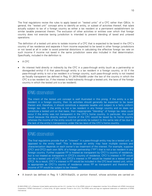The final regulations revise the rules to apply based on "tested units" of a CFC rather than QBUs. In general, the "tested unit" concept aims to identify an entity, or subset of activities thereof, that is/are actually subject to tax of a foreign country as either a tax resident or a permanent establishment (or similar taxable presence) therein. The exclusion of other activities or entities over which that foreign country does not exercise taxing jurisdiction is intended to prevent blending of taxed and untaxed operations.

The definition of a tested unit aims to isolate income of a CFC that is expected to be taxed in the CFC's country of tax residence and separate it from income expected to be taxed in other foreign jurisdictions or not taxed at all in order to avoid potential distortions in calculating the effective foreign tax rate on such income if income not taxed in the same jurisdiction were also included in that determination. Specifically, included in the definition is:

- A CFC
- An interest held directly or indirectly by the CFC in a pass-through entity (such as a partnership or disregarded entity) if (i) that pass-through entity is a tax resident in a foreign country, or (ii) if the pass-through entity is not a tax resident in a foreign country, such pass-through entity is not treated as fiscally transparent (as defined in Reg. §1.267A-5(a)(8)) under the law of the country in which the CFC is a tax resident (or, if the interest is held indirectly through a tested unit, the laws of the foreign country in which the tested unit is a tax resident).

#### KPMG observation

The intent of the tested unit concept is well illustrated in this prong. If the entity is a tax resident in a foreign country, then its activities should generally be expected to be taxed therein and, therefore, it should constitute a separate taxable unit subject to a fairly uniform foreign tax rate. If the entity is not a tax resident in any foreign country and so does not constitute a tested unit on that basis, then inappropriate "blending" of foreign tax rates could occur if the entity was not transparent in the CFC's home country. In particular, this could result because the directly earned income of the CFC would be taxed by its home country whereas the income of the entity would not generally be subject to this same rate of tax due to the lack of the entity's transparency under the tax laws of the CFC's home country.

### KPMG observation

The final regulations provide that an "interest" in a pass-through entity may be a tested unit, as opposed to the entity itself. This is because an entity may have multiple owners and characterization depends on each owner's tax treatment of the interest. For example, suppose CFC1 and CFC2 each own 50% of a foreign partnership ("FP") that is not a tax resident in any foreign country. Further suppose FP is treated as transparent by CFC1's country of residence, but is not treated as transparent in CFC2's country of residence. CFC1's interest in FP would not be a tested unit of CFC1, but CFC2's interest in FP would be treated as a tested unit of CFC2. As a result, CFC1's interest in FP would be included in the CFC-level tested unit, which is appropriate as CFC1's country of residence views FP as transparent and therefore the income of FP would be subject to tax therein.

• A branch (as defined in Reg. § 1.267A-5(a)(2)), or portion thereof, whose activities are carried on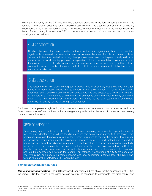directly or indirectly by the CFC and that has a taxable presence in the foreign country in which it is located. If the branch does not have a taxable presence, then it is a tested unit only if an exclusion, exemption, or other similar relief applies with respect to income attributable to the branch under the laws of the country in which the CFC (or, as relevant, a tested unit that carries out the branch activity) is a tax resident.

#### KPMG observation

Notably, the use of a branch tested unit rule in the final regulations should not result in significantly increased compliance burdens on taxpayers because the rule is focused on how certain activities are treated for foreign law purposes—an exercise taxpayers likely will have undertaken for local country purposes independent of the final regulations. As an example, taxpayers may have already engaged in this analysis in order to determine whether a local country tax return must be filed as a result of the CFC having a permanent establishment in a particular jurisdiction.

# KPMG observation

The latter half of this prong segregates a branch that is effectively not taxed anywhere (or taxed to a much lesser extent than its owner) (a "non-taxed branch"). That is, if the branch does not have a taxable presence where located and it is also subject to a preferential regime in its operator's jurisdiction, it is likely that no jurisdiction is taxing the income to any significant extent. The non-taxed branch is therefore ring-fenced as its own tested unit and would generally not qualify for the GILTI high-tax exception.

An interest in a pass-through entity that does not meet either requirement to be a tested unit is a "transparent interest" and its income items are generally reflected at the level of the tested unit owning the transparent interests.

### KPMG observation

Determining tested units of a CFC will prove time-consuming for some taxpayers because it requires an understanding of where the direct and indirect activities of a given CFC are taxed. This complexity may lead taxpayers to rethink their foreign structure to reduce the number the number of transparent entities and branches owned or operated by a CFC and instead opt to conduct operations in different jurisdictions in separate CFCs. Operating in this manner would substantially eliminate the time required for the tested unit determination. However, even though GILTI is calculated on an aggregate basis, such a restructuring may impact the taxpayer's GILTI inclusion and resulting deemed paid foreign tax credits. For instance, if operations of a CFC are separated into two CFCs, one generating tested income and one generating a tested loss, the QBAI and foreign taxes of the tested loss CFC would be lost.

#### <span id="page-11-0"></span>**Tested unit combination rules**

**Same country aggregation.** The 2019 proposed regulations did not allow for the aggregation of QBUs, including QBUs that were in the same foreign country. In response to comments, the final regulations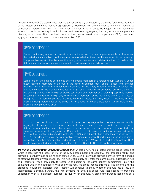generally treat a CFC's tested units that are tax residents of, or located in, the same foreign country as a single tested unit ("same country aggregation"). However, non-taxed branches are never subject to combination pursuant to this rule; again, such a branch is not likely to be subject to any meaningful amount of tax in the country in which located and therefore, aggregating it may give rise to inappropriate blending of tax rates. The combination rule applies only to tested units of a particular CFC; there is no aggregation for tested units of commonly controlled CFCs.

# KPMG observation

Same country aggregation is mandatory and not elective. The rule applies regardless of whether the tested units are subject to the same tax rate or whether they use the same functional currency. The preamble explains that because the foreign effective tax rate is determined in U.S. dollars, the differing currency of operations is unlikely to result in a meaningful distortion.

## KPMG observation

Some foreign jurisdictions permit loss sharing among members of a foreign group. Generally, under these regimes, members of a group in the same jurisdiction may "share" losses with another member, which results in a lower foreign tax due for the entity receiving the loss. Because the taxable income of the individual entities for U.S. federal income tax purposes remains the same, the sharing of losses for foreign purposes can cause one member of a foreign group to be viewed as paying a high rate of foreign tax, while another member may be viewed as paying a low rate of foreign tax. The combination rule prevents distortive results that may occur in the case of loss sharing among tested units of the same CFC, but does not cover a situation in which there is loss sharing *among* different CFCs.

# KPMG observation

Because a non-taxed branch is not subject to same country aggregation, taxpayers cannot merely aggregate all entities in the same country. Instead, where a branch exists, taxpayers must determine whether the branch has a taxable presence in the country in which it is located. For example, assume a CFC organized in Country A ("CFC1") owns a Country A disregarded entity ("FDEA"), a Country B disregarded entity ("FDEB"), and a branch that is also located in Country B ("FBB"), but does not give rise to a taxable presence in Country B and qualifies for an exclusion, exemption, or other similar relief under Country A tax law. While CFC1 and its interest in FDEA would be aggregated under the combination rule, FDEB and FBB would not be aggregated.

**De minimis aggregation (proposed regulations).** Where a CFC has a tested unit the gross income of which is less than the lesser of 1% of the CFC's gross income or \$250,000, the proposed regulations provide a rule that would combine such tested units. Such a rule would provide a limited form of blending of effective tax rates where it applies. This rule would apply only after the same country aggregation rule and, therefore, would only apply to tested units subject to the same country combination rule if the combined unit, in the aggregate, was below the required gross income threshold. The preamble to the proposed regulations indicates that Treasury will continue to study whether this rule could result in inappropriate blending. Further, the rule contains its own anti-abuse rule that applies to transfers undertaken with a "significant purpose" to qualify for this rule. A significant purpose need not be a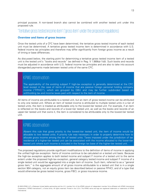principal purpose. A non-taxed branch also cannot be combined with another tested unit under this proposed rule.

#### <span id="page-13-0"></span>"Tentative gross tested income item" ("gross item" under the proposed regulations)

#### <span id="page-13-1"></span>**Overview and items of gross income**

Once the tested units of a CFC have been determined, the tentative gross tested income of each tested unit must be determined. A tentative gross tested income item is determined in accordance with U.S. federal income tax principles and therefore may differ significantly from foreign gross income as a result of timing or base differences.

As discussed below, the starting point for determining a tentative gross tested income item of a tested unit is the tested unit's "books and records" (as defined in Reg. § 1.989(a)-1(d)). Such books and records must be adjusted in accordance with U.S. federal income tax principles and are also to take into account disregarded payments made between tested units of the same CFC.

#### KPMG observation

The applicability of the existing subpart F high-tax exception is generally determined at the CFC level except in the case of items of income that are passive foreign personal holding company income ("FPHCI"), which are grouped by QBU and may be further subdivided based on withholding tax and income taxes paid with respect to the item of income.

All items of income are attributable to a tested unit, but an item of gross tested income can be attributed to only one tested unit. Where an item of tested income is attributed to multiple tested units in a tier of tested units, the item is treated as attributable only to the lowest-tier tested unit. For example, if an item is reflected on the books and records of a lower-tier tested unit, as well as the books and records of an upper-tier tested unit that owns it, the item is considered to be attributable only to the lowest-tier tested unit.

#### KPMG observation

Absent this rule that gives priority to the lowest-tier tested unit, the item of income would be allocable to two tested units. A priority rule was necessary in order to properly determine how to allocate gross income among the tier of tested units. Taxes imposed under the jurisdiction of tax residence of a higher-tier tested unit can be associated with the income allocated to the lower-tier tested unit where such income is included in the foreign tax base of the higher-tier tested unit.

The proposed regulations provide significant modifications to the definition of items of income in applying the unified high-tax exception. Items of income continue to be calculated on a tested unit basis. Because the high-tax exception applies to both tested income and subpart F income of a tested unit to the same extent under the proposed high-tax exception, general category tested income and subpart F income of a single tested unit would be aggregated into a single item of income. Such item, referred to as a "general gross item," is the aggregate amount of all gross income attributable to a tested unit that is in a single section 904 category, not an equity gross item (as described below) or passive FPHCI, and of a type that would otherwise be gross tested income, gross FBCI, or gross insurance income.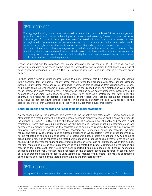The aggregation of gross income that would be tested income or subpart F income as a general gross item could allow for some blending of tax rates, notwithstanding Treasury's stated concerns in that regard. Consider, for example, the case of a tested unit in a country with a foreign income tax regime with preferential export tax rates, under which the tested unit's in-country sales would be taxed at a high rate relative to its export sales. Depending on the relative amounts of such income and their rates of taxation, aggregation could allow all of the sales income to qualify for the unified high-tax exception, even if the export sales would not have qualified if tested separately, or conversely could cause none of the income to qualify for the exception, even if the in-country sales would have qualified if tested separately.

Under the unified high-tax exception, the historic grouping rules for passive FPHCI, which divide such income into separate items based on the types of income described in section 954(c)(1) and groupings of passive income described in Reg. § 1.904-4(c), would be retained. Each such item is a "passive gross item."

Further, certain items of gross income related to equity interests held by a tested unit are segregated into a separate item of income ("equity gross items") rather than grouped with other general category income. Equity gross items consist of dividends, income or gain recognized from dispositions of stock, and similar items, as well income or gain recognized on the disposition of, or a distribution with respect to, an interest in a pass-through entity. In order to be included as an equity gross item, income must be subject to an exclusion, exemption, or other similar relief (such as a preferential tax rate) under the country of tax residence or location, as applicable, of the tested unit. Foreign income tax credits and deductions do not constitute similar relief for this purpose. Furthermore, gain with respect to the disposition of stock that would be dealer property is excluded from equity gross items.

#### <span id="page-14-0"></span>**Separate books and records and "applicable financial statement"**

As mentioned above, for purposes of determining the effective tax rate, gross income generally is attributable to a tested unit to the extent the gross income is properly reflected on the books and records (as defined in Reg. § 1.989(a)-1(d)) of the tested unit. If a separate set of books and records is not maintained, items that would be reflected on the books and records must be determined and are deemed to be properly reflected on the separate set of books and records. Notably, this rule prevents taxpayers from avoiding the rules by merely choosing not to maintain books and records. The final regulations also provide certain rules to address situations in which certain items of gross income may not be reflected on the books and records of a tested unit. First, in certain situations, a CFC's items of gross income may not be reported on a tested unit's books and records because they are not taken into account during the year for financial accounting purposes or for foreign tax purposes. When this occurs, the final regulations provide that such amount is to be treated as properly reflected on the books and records to the extent such item would have been reported if taken into account for financial accounting purposes during the year. Further, items reflected on the separate books and records of pass-through entities or branches that are not tested units (defined as "transparent interests") are treated as reflected on the books and records of the tested unit that holds the transparent entity.

## KPMG observation

Along with the requirements that books and records be essentially reconstructed if not otherwise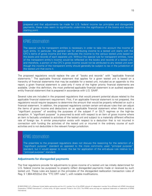prepared and that adjustments be made for U.S. federal income tax principles and disregarded payments, these rules seem to significantly undermine the significance of the books and records starting point.

## KPMG observation

The special rule for transparent entities is necessary in order to take into account the income of such entity. In particular, the general rule for attributing income to a tested unit starts with the CFC's items of gross income and then attributes the income to the various tested units based on the books and records of each separate unit. Without the special rule for transparent entities, none of the transparent entity's income would be reflected on the books and records of a tested unit, and therefore, a portion of the CFC's gross income would not be attributed to any tested unit even though the income of the transparent entity should generally be subject to tax in the jurisdiction of the tested unit that owns it.

The proposed regulations would replace the use of "books and records" with "applicable financial statements." The applicable financial statement that applies for a given tested unit is based on a hierarchy of financial statements that may be available for a tested unit, included as an appendix to this report; a given financial statement is used only if none of the higher priority financial statements are available. Under this definition, the most preferred applicable financial statement is an audited separateentity financial statement that is prepared in accordance with U.S. GAAP.

Several rules are included in the proposed regulations that would prevent potential abuse related to the applicable financial statement requirement. First, if an applicable financial statement is not prepared, the regulations would require taxpayers to determine the amount that would be properly reflected on such a financial statement. In addition, the proposed regulations contain certain anti-abuse rules that can adjust the items of gross income and deductions on an applicable financial statement when there exists a "significant purpose" of avoiding the purposes of the subpart F or GILTI regimes or the high-tax exception. A "significant purpose" is presumed to exist with respect to an item of gross income where an item is factually unrelated to activities of the tested unit and subject to a materially different effective rate of foreign tax. A similar presumption exists with respect to a deduction that is not incurred in connection with funding the activities of the tested unit or incurred in the ordinary course of such activities and is not deductible in the relevant foreign jurisdiction.

#### KPMG observation

The preamble to the proposed regulations does not discuss the reasoning for the selection of a "significant purpose" standard as opposed to the more commonly used "principal purpose" standard, but it would appear to lower the bar for application of the anti-abuse rule relative to a "principal purpose" standard.

#### <span id="page-15-0"></span>**Adjustments for disregarded payments**

The final regulations provide for adjustments to gross income of a tested unit (as initially determined for U.S. federal income tax purposes) to properly reflect disregarded payments made or received by such tested unit. These rules are based on the principles of the disregarded reallocation transaction rules of Reg. § 1.904-4(f)(2)(vi) (the "FTC DRT rules"), with notable modifications.

<sup>© 2020</sup> KPMG LLP, a Delaware limited liability partnership and the U.S. member firm of the KPMG network of independent member firms affiliated with KPMG International Cooperative ("KPMG International"), a Swiss entity. All rights reserved. Printed in the U.S.A. The KPMG name and logo are registered trademarks or trademarks of KPMG International.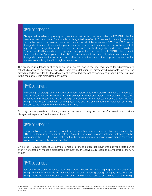Disregarded transfers of property can result in adjustments to income under the FTC DRT rules for years after such transfers. For example, a disregarded transfer of IP can result in an adjustment of income by reason of a deemed paid royalty under the principles of sections 367(d) and 482), and a disregarded transfer of depreciable property can result in a reallocation of income to the extent of any related "disregarded cost recovery deduction." The final regulations do not provide a "transactional" effective date for purposes of applying the principles of the FTC DRT rules. It is not clear whether the "principles" of the FTC DRT rules take into account only adjustments related to disregarded transfers that occurred on or after the effective date of the proposed regulations for purposes of applying the GILTI high-tax exception.

The proposed regulations further build on the rules provided in the final regulations for adjustments to reflect disregarded payments, providing their own definition of disregarded payments, as well as providing additional rules for the allocation of disregarded interest payments and modified ordering rules in the case of multiple disregarded payments.

### KPMG observation

Accounting for disregarded payments between tested units more closely reflects the amount of income that is subject to tax in a given jurisdiction. Without such rules, "rate blending" could be achieved if one tested unit made a disregarded payment to another tested unit that resulted in a foreign income tax deduction for the payor unit and thereby shifted the incidence of foreign taxation to the payee of the disregarded payment.

Both regulations provide that the adjustments are made to the gross income of a tested unit to reflect disregarded payments "to the extent thereof."

#### KPMG observation

The preambles to the regulations do not provide whether this cap on reallocation applies under the FTC DRT rules or is a deviation therefrom. As such, it remains unclear whether adjustments can be made under the FTC DRT rules that result in the gross income of a payor foreign branch (or branch owner, as applicable) becoming negative.

Unlike the FTC DRT rules, adjustments are made to reflect disregarded payments between tested units even if no tested unit makes a disregarded payment to, or receives a disregarded payment from, the CFC owner.

#### KPMG observation

For foreign tax credit purposes, the foreign branch basket reflects an aggregate of the taxpayer's foreign branch category income (and taxes). As such, tracking disregarded payments between foreign branches was unnecessary if no payments were also made to or received from the foreign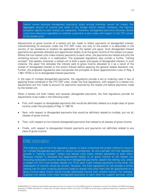branch owner because disregarded payments solely among branches would not impact the aggregate amount of income and taxes in the foreign branch basket. However, the high-tax exception applies to each tested unit separately. Therefore, disregarded payments between tested units have relevance regardless of whether a payment is also made with respect to the CFC owner of the tested units.

Adjustments to gross income of a tested unit are made to reflect payments of disregarded interest, notwithstanding its exclusion under the FTC DRT rules, but only to the extent it is deductible in the country of tax residence or location (as applicable) of the tested unit payor. Such disregarded interest payments are generally allocated and apportioned ratably to all the gross income of the tested unit payor. Where the two tested units make interest payments to each other, the payments are netted and only the remaining amount results in a reallocation. The proposed regulations also contain a further "netting concept" that applies whenever a tested unit is both a payor and payee of disregarded interest; in such instance, the payor first allocates the interest paid to gross income allocated to it as a result of the receipt of disregarded interest to the extent thereof before applying the general ratable allocation rule. Further, the proposed regulations also incorporate the principles of direct apportionment rules of Reg. § 1.861-10T(b) or (c) to disregarded interest payments.

In the case of multiple disregarded payments, the regulations provide a set or ordering rules in lieu of applying those contained in the FTC DRT rules. Under the final regulations, with respect to a tested unit, adjustments are first made to account for payments received by the tested unit before payments made by the tested unit.

When a tested unit both makes and receives disregarded payments, the final regulations provide for adjustments to be made in the following order:

- First, with respect to disregarded payments that would be definitely related to a single class of gross income under the principles of Reg. § 1.861-8.
- Next, with respect to disregarded payments that would be definitely related to multiple, but not all, classes of gross income.
- Then, with respect to non-interest disregarded payments that related to all classes of gross income.
- Finally, with respect to disregarded interest payments and payments not definitely related to any class of gross income.

#### KPMG observation

The ordering rules of the final regulations appear to leave unresolved the proper method to account for multiple disregarded payments in various circumstances. As one example, the final regulations provide a "netting concept" where two tested units make interest payments to each other. Because interest is allocated and apportioned ratably to all gross income of the tested unit (including reallocated income resulting from disregarded payments), absent the netting rule, where a tested unit (TU1) and another tested unit (TU2) each make interest payments to the other, the reallocation of income would be circular. However, the final regulations do not provide a similar netting rule for other crossing payments made by tested units that might also be apportioned on a gross income basis (which would include reallocated income from another branch). For example, suppose two tested units make disregarded payments to each other for support services, which

<sup>© 2020</sup> KPMG LLP, a Delaware limited liability partnership and the U.S. member firm of the KPMG network of independent member firms affiliated with KPMG International Cooperative ("KPMG International"), a Swiss entity. All rights reserved. Printed in the U.S.A. The KPMG name and logo are registered trademarks or trademarks of KPMG International.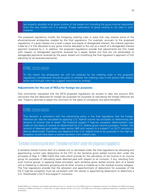are properly allocable to all gross income of the tested unit (including the gross income reallocated from the very tested unit it is paying). Proper reallocation of gross income is not clear in such instance.

The proposed regulations modify the foregoing ordering rules in ways that may resolve some of the aforementioned ambiguities created by the final regulations. For example, pursuant to the proposed regulations, if a given tested unit is both a payor and payee of disregarded interest, the interest payment made by it is first allocated to any gross income allocated to the unit as a result of a disregarded interest payment received by it. In addition, the proposed regulations provide that adjustments are first made with respect to disregarded payments received by a payee tested unit that are not attributable to disregarded payments received by the payor tested unit (modifying the final regulation's approach of first adjusting for all received payments).

# KPMG observation

To the extent the ambiguities are still not resolved by the ordering rules in the proposed regulations, consideration should be given to whether the ordering rules in the section 904 related entity look-through rules may suggest resolutions by analogy.

#### <span id="page-18-0"></span>**Adjustments for the use of NOLs for foreign tax purposes**

One commenter requested that the 2019 proposed regulations be revised to take into account NOL carryovers that are deducted for foreign tax purposes for purposes of calculating the foreign effective tax rate. Treasury declined to adopt this comment on the basis of complexity and administrability.

### KPMG observation

This decision is consistent with the overarching policy in the final regulations that the foreign effective tax rate be calculated by applying U.S. federal income tax principles to determining the amount of income that is taxed. The historical subpart F high-tax exception determination was made on the basis of income as determined for U.S. federal gross income purposes. Further, the amount of deemed paid credits under section 960 with respect to a subpart F or GILTI inclusion is also so determined. Therefore, any departure from U.S. federal income tax purposes in the high-tax exception would have been a marked deviation from related rules.

### <span id="page-18-1"></span>"Tentative tested income item" ("tentative net item" under the proposed regulations)

A tentative tested income item of a tested unit is calculated under the final regulations by allocating and apportioning current year deductions of the CFC to the tentative gross tested income item under the principles of Reg. § 1.960-1(d)(3) (the rules which provide for the calculation of net income in an income group for purposes of calculating taxes deemed paid with respect to an inclusion, if any, resulting from such income group). In applying these principles, each tentative gross tested income item of a tested unit is treated as a statutory grouping and all other income is treated as in the residual income category. The final regulations provide that the allocation and apportionment of deductions for purposes of the GILTI high-tax exception must be consistent with the results in apportioning deductions to determine a U.S. Shareholder's GILTI and subpart F inclusions.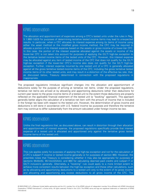The allocation and apportionment of expenses among a CFC's tested units under the rules in Reg. § 1.960-1(d)(3) for purposes of determining tentative tested income items may lead to unexpected results. In particular, when a CFC allocates its interest expense among its items of income using either the asset method or the modified gross income method, the CFC may be required to allocate a portion of its interest expense based on the assets or gross income of a lower-tier CFC. In this case, the portion of the interest expense allocated against the assets or income of the lower-tier CFC is not taken into account for purposes of applying the GILTI high-tax exception to the tentative tested income items of the tested units of the CFC. However, this interest expense may be allocated against any item of tested income of the CFC that does not qualify for the GILTI high-tax exception if the lower-tier CFC's income also does not qualify for the GILTI high-tax exception. Further, interest expense incurred by one tested unit of a CFC is generally allocated against all the gross tentative tested income items of the CFC, including the gross tentative tested income items of its other tested units, and may result in a distortion of the effective tax rate, that, as discussed below, Treasury determined in connection with the proposed regulations is inappropriate.

The proposed regulations introduce significant changes into the allocation and apportionment of deductions solely for the purpose of arriving at tentative net items. Under the proposed regulations, tentative net items are arrived at by allocating and apportioning deductions (other than deductions for current year taxes) to the gross income items of a tested unit to the extent those deductions are properly reflected on the applicable financial statement of the tested unit (a "booking" approach). This approach generally better aligns the calculation of a tentative net item with the amount of income that is included in the foreign tax base with respect to the tested unit. However, the determination of gross income and deductions is still done in accordance with U.S. federal income tax purposes and therefore the tentative item may continue to differ substantially from the amount calculated under foreign income tax law.

### KPMG observation

Unlike the final regulations that, as discussed above, can result in distortion through their allocation and apportionment of interest expense, the proposed regulations specifically provide that interest expense of a tested unit is allocated and apportioned only against the tentative gross tested income items of the tested unit.

# KPMG observation

This rule applies solely for purposes of applying the high-tax exception and not for the calculation of a CFC's subpart F income or tested income generally or for purposes of section 960. However, the preamble notes that Treasury is considering whether it may also be appropriate for purposes of sections 954(b)(5), 951A(c)(2)(A)(ii), and 960 for calculating deemed paid credits and subpart F or GILTI inclusions generally. Alternately, a "booking" rule could apply to a more limited extent to achieve more consistent results between the high-tax exception and these other calculations, such as by allocating and apportioning deductions to a tested unit only to the extent of its gross income and allocating and apportioning any excess deductions to all gross income of the CFC. The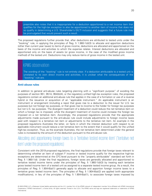preamble also notes that it is inappropriate for a deduction apportioned to a net income item that qualifies for the high-tax exception to also be apportioned to another item of income that does not so qualify in determining a U.S. Shareholder's GILTI inclusion and suggests that a future rule may be promulgated that would prevent such a result.

The proposed regulations further provide that, after deductions are attributed to tested units under the "booking" rule, in applying the principles of Reg. § 1.960-1(d)(3) to allocate and apportion deductions (other than current year taxes) to items of gross income, deductions are allocated and apportioned on the basis of the income and activities to which the expense relates. Interest deductions are allocated and apportioned only on the basis of assets (or gross income, in the case of the modified gross income method) of the tested unit. Deductions may only reduce items of gross income in the tested unit.

#### KPMG observation

The wording of the "booking" rule is not entirely clear. If a deduction attributable to a tested unit is unrelated to its own direct income and activities, it is unclear what the consequences of the "booking" rule are.

#### <span id="page-20-0"></span>**Anti-abuse rules**

In addition to general anti-abuse rules targeting planning with a "significant purpose" of avoiding the purposes of section 951, 951A, 954(b)(4), or the regulatory unified high-tax exception rules, the proposed regulations contain an additional anti-abuse rule that applies in the case of a formation or use of a reverse hybrid or the issuance or acquisition of an "applicable instrument." An applicable instrument is an instrument or arrangement (including a repo) that gives rise to a deduction to the issuer for U.S. tax purposes but not foreign tax purposes, or that gives rise to income to the holder for foreign tax purposes but not U.S. tax purposes. The divergent treatment of a deduction could reduce the net tentative item on which a foreign tax is imposed, while the divergent treatment of income could increase the foreign tax imposed on a net tentative item. Accordingly, the proposed regulations provide that the appropriate adjustments made pursuant to the anti-abuse rule could include adjustments to foreign income taxes paid with respect to a tentative net item or adjustments to the tentative net item. An example in the proposed regulations illustrates the latter, on facts in which the interest deduction with respect to an applicable instrument would reduce a net tentative item to the extent that it would qualify for the unified high-tax exception. Thus, as the example illustrates, the net tentative item determined under the general rules is increased by the amount of the deduction pursuant to the anti-abuse rule.

# <span id="page-20-1"></span>Allocating and apportioning foreign taxes to a "tentative tested income item" ("tentative net item" under the proposed regulations)

Consistent with the 2019 proposed regulations, the final regulations provide that foreign taxes relevant to determining whether an item of subpart F income or tested income qualify for the respective high-tax exceptions are determined at the CFC-level pursuant to the "properly attributable" standard set forth in Reg. § 1.960-1(d). Under the final regulations, foreign taxes are generally allocated and apportioned to tentative tested income items under the principles of Reg. § 1.960-1(d)(3) by treating each tentative gross tested income item of a tested unit as assigned to a separate tested income group. As a result, the principles of Reg. § 1.904-6(a)(1) generally apply to allocate and apportion foreign income taxes to a tentative gross tested income item. The principles of Reg. § 1.904-6(a)(2) are applied (with appropriate modifications), in lieu of the principles of Reg. § 1.904-6(a)(1), to associate foreign taxes imposed by

<sup>© 2020</sup> KPMG LLP, a Delaware limited liability partnership and the U.S. member firm of the KPMG network of independent member firms affiliated with KPMG International Cooperative ("KPMG International"), a Swiss entity. All rights reserved. Printed in the U.S.A. The KPMG name and logo are registered trademarks or trademarks of KPMG International.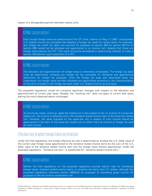reason of a disregarded payment between tested units.

#### KPMG observation

Even though foreign taxes are determined at the CFC level, reliance on Reg. § 1.960-1 incorporates U.S. federal income tax principles that disallow a foreign tax credit for certain taxes. For example, any foreign tax credit not taken into account for purposes of section 960 by section 901(m) or section 909 would not be allocated and apportioned to an income item despite that these are foreign taxes paid by the CFC. This result should be considered in determining whether to make a section 338 election upon acquisition of a CFC.

#### KPMG observation

The allocation and apportionment of foreign taxes is inherently complicated. The foreign tax base must be determined, including any foreign tax law principles for allocating and apportioning deductions for foreign tax purposes. Once the foreign tax base and associated taxes are understood, the foreign taxes are then allocated and apportioned according to the characterization of the items included in the foreign tax base under U.S. federal income tax principles.

The proposed regulations would not introduce significant changes with respect to the allocation and apportionment of current year taxes. Notably, the "booking rule" does not apply to current year taxes, leaving the result observed above unchanged.

### KPMG observation

As previously noted, where an upper-tier tested unit is also subject to tax on income of a lower-tier tested unit, the income is reflected only in the tentative tested income item of the lower-tier tested unit. However, the taxes imposed on the upper-tier unit in respect of such income should be apportioned to the item of the lower-tier tested unit to reflect the true amount of foreign tax paid on such income.

#### <span id="page-21-0"></span>Effective rate at which foreign taxes are imposed

Under the final regulations, the foreign effective tax rate is determined by dividing the U.S. dollar value of the current year foreign taxes apportioned to the tentative tested income items by the sum of the U.S. dollar value of the tentative tested income item and the foreign taxes thereto apportioned. Under the proposed regulations, "tentative net item" is substituted for "tentative tested income item."

# KPMG observation

Neither the final regulations nor the proposed regulations provide explicit rules for translating foreign taxes, tentative tested income items, or tentative net items into U.S. dollars, although the proposed regulations reference section 989(b)(3) for purposes of translating gross income for purposes of the de minimis combination rule.

<sup>© 2020</sup> KPMG LLP, a Delaware limited liability partnership and the U.S. member firm of the KPMG network of independent member firms affiliated with KPMG International Cooperative ("KPMG International"), a Swiss entity. All rights reserved. Printed in the U.S.A. The KPMG name and logo are registered trademarks or trademarks of KPMG International.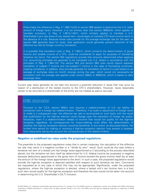Presumably the reference in Reg. § 1.960-1(c)(3) to section 986 applies to determine the U.S. dollar amount of foreign taxes. However, it is not entirely clear that section 989(b)(3), which applies to translate inclusions, or Reg. § 1.951A-1(d)(1), which similarly applies to translate a U.S. Shareholder's pro rata share of any tested item, would apply to translate CFC-level income items in the absence of a rule. Because these rules provide for the average exchange rate for the year, as section 986 generally does for taxes, their application would generally prevent distortion of the effective tax rate by foreign currency translation.

It is possible that translation rules in Reg. § 1.952-2, which concerns the determination of gross income and taxable income of a CFC, could be considered to apply for purposes of translating tentative net items. The section 952 regulations provide that amounts determined when applying U.S. accounting principles are generally to be translated into U.S. dollars in accordance with the principles of Reg. § 1.964-1(d). The section 952 and section 964 rules would require separate translation of subpart F income and non-subpart F income in the case of fluctuating currencies, creating complexity. In addition, they provide generally for translation of items in a year based on an average of exchange rates on month closings during the year, which would not necessarily be consistent with the average rate applied under section 986(c) or 989(b)(3), which is based on daily exchange rates.

Current year taxes generally do not take into account a potential reduction in taxes that may occur by reason of a distribution of the tested income to the CFC's shareholders. However, taxes reasonably certain to be returned to a shareholder of the entity are not treated as paid or accrued.

### **KPMG** observation

Pursuant to the TJCA, section 905(c) now requires a redetermination of U.S. tax liability in connection with a foreign tax redetermination. Therefore, if an audit or adjustment to foreign taxes is made in a subsequent year, the effective tax rate is recomputed on such basis with the result that qualification for the high-tax election could change upon the resolution of foreign tax audits. Moreover, even if a redetermination relates to income that would not qualify for the high-tax exception regardless, its consequences for cross-crediting could affect the determination of whether the high-tax exception election would be beneficial. In any event, as discussed below, the limited time period for making or revoking a high-tax exception election may prevent a taxpayer from adequately taking into account the consequences of the redetermination.

#### <span id="page-22-0"></span>**Negative or undefined tax rates under the proposed regulations**

The preamble to the proposed regulations notes that in certain instances, the calculation of the effective tax rate may result in a negative number or a "divide by zero" result. Such could be the case where a tentative net item of a tested unit has foreign taxes apportioned to it (according to the process described above), but the tentative net item itself (as determined for U.S. federal income tax purposes) is negative because deductions apportioned to the gross item of income exceed the gross income itself (by at least the amount of the foreign taxes apportioned to the item). In such a case, the proposed regulations would provide the high-tax exception is deemed satisfied with respect to such tentative net item. Comments are requested as to any case in which this may not be appropriate. Significantly, under the proposed regulations, where the high-tax exception is elected, where a tested unit's net income item is a loss, such item would qualify for the high-tax exception and therefore the loss would not be taken into account in determining the U.S. Shareholder's GILTI inclusion.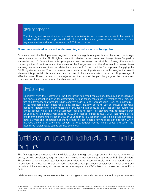The final regulations are silent as to whether a tentative tested income item exists if the result of subtracting allocated and apportioned deductions from the related gross income results in zero or a negative number and how to evaluate the ETR in such cases.

#### <span id="page-23-0"></span>**Comments received in respect of determining effective rate of foreign tax**

Consistent with the 2019 proposed regulations, the final regulations provide that the amount of foreign taxes relevant to the final GILTI high-tax exception derives from current year foreign taxes (as paid or accrued under U.S. federal income tax principles rather than foreign tax principles). Timing differences in the recognition of the income and the accrual of the foreign taxes can therefore result in foreign taxes accruing in a separate year than the related income under U.S. tax principles for purposes of applying the GILTI high-tax exception. Treasury received comments requesting alternative methodologies that would alleviate this potential mismatch, such as the use of the statutory rate or even a rolling average of effective rates. These comments were rejected on the basis of the plain language of the statute and concerns over the administrability of such a standard.

### KPMG observation

Consistent with the treatment in the final foreign tax credit regulations, Treasury has recognized the annual accounting period for determining foreign taxes, regardless of whether there may be timing differences that produce what taxpayers believe to be "unreasonable" results. In particular, in the final foreign tax credit regulations, Treasury similarly opted to use an annual accounting period for determining foreign taxes paid, only taking into account taxes that accrued during the annual accounting period. The government decided to apply this standard fully recognizing that CFCs may have different year-ends for U.S. and local tax purposes (e.g., CFCs that have elected one-month deferral under section 898, or CFCs formed in jurisdictions such as India that mandate a particular year-end), regardless of the fact that this can create a timing mismatch between when the CFC's income is taken into account for U.S. federal income tax purposes and when the associated foreign taxes can be claimed as a credit.

# <span id="page-23-1"></span>Consistency and procedural requirements of the high-tax exceptions

The final regulations prescribe who is eligible to elect the high-tax exception and the means by which to do so, provide consistency requirements, and include a requirement to notify other U.S. Shareholders. These rules deserve special attention because a failure to fully comply results in an invalidated election. In addition, the proposed regulations add a detailed contemporaneous substantiation requirement and provide additional reporting that must be made in respect of a CFC subject to the election on its Form 5471.

While an election may be made or revoked on an original or amended tax return, the time period in which

<sup>© 2020</sup> KPMG LLP, a Delaware limited liability partnership and the U.S. member firm of the KPMG network of independent member firms affiliated with KPMG International Cooperative ("KPMG International"), a Swiss entity. All rights reserved. Printed in the U.S.A. The KPMG name and logo are registered trademarks or trademarks of KPMG International.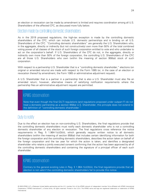an election or revocation can be made by amendment is limited and requires coordination among all U.S. Shareholders of the affected CFC, as discussed more fully below.

#### <span id="page-24-0"></span>Election made by controlling domestic shareholders

As in the 2019 proposed regulations, the high-tax exception is made by the controlling domestic shareholders of the CFC, which can include U.S. domestic partnerships and is binding on all U.S. Shareholders of the CFC. "Controlling domestic shareholders" are generally the U.S. Shareholders who, in the aggregate, directly or indirectly (but not constructively) own more than 50% of the total combined voting power of all classes of the stock of such foreign corporation entitled to vote and who undertake to act on the corporation's behalf. If U.S. Shareholders of the CFC do not, in the aggregate, directly or indirectly own more than 50% of the foreign corporation, the controlling U.S. Shareholders of the CFC are all those U.S. Shareholders who own (within the meaning of section 958(a)) stock of such corporation.

With respect to a partnership U.S. Shareholder that is a "controlling domestic shareholder," elections (on original or amended returns) are made with respect to the Form 1065 (or, in the case of an election or revocation thereof by amendment, the Form 1065 or administrative adjustment request).

A U.S. Shareholder that is a partner in a partnership that is also a U.S. Shareholder must also file an amended return; however, alternative means of satisfying notification requirements where the partnership files an administrative adjustment request are permitted.

# KPMG observation

Note that even though the final GILTI regulations (and regulations proposed under subpart F) do not treat a domestic partnership as a section 958(a) U.S. Shareholder, this principle does not extend to the definition of "controlling domestic shareholder."

## <span id="page-24-1"></span>Duty to notify

Due to the effect an election has on non-controlling U.S. Shareholders, the final regulations provide that the controlling domestic shareholders must notify each domestic shareholder who is not a controlling domestic shareholder of any election or revocation. The final regulations cross reference the notice requirements in Reg. § 1.964-1(c)(3)(iii), which generally require written notice to all domestic shareholders (within the meaning of section 958(a)) that includes certain identifying information for both the foreign corporation and the controlling domestic shareholders, describes the action taken on behalf of the foreign corporation and the tax year for which the action is taken, and identifies a designated shareholder who retains a jointly executed consent confirming that the action has been approved by all of the controlling domestic shareholders and containing the signature of a principal officer of each such shareholder.

# KPMG observation

Contrary to the general existing rules in Reg. § 1.964-1(c)(3)(iii), the final regulations provide that an election is not valid if the controlling domestic shareholders fail to provide this notice.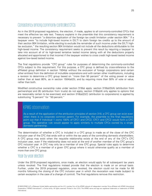# <span id="page-25-0"></span>Consistency among commonly controlled CFCs

As in the 2019 proposed regulations, the election, if made, applies to all commonly-controlled CFCs that meet the effective tax rate test. Treasury explains in the preamble that this consistency requirement is necessary to prevent "a distortive application of the foreign tax credit limitation under section 904." If a taxpayer were "to include high-taxed income in GILTI to claim foreign tax credits up to the amount of their section 904 limitation, while electing to exclude the remainder of such income under the GILTI hightax exclusion," the resulting section 904 limitation would not include all the deductions attributable to the high-taxed income. The consistency requirement seeks to prevent this result by requiring a taxpayer to take into account all of its high-taxed tentative tested income (along with all the deductions properly allocated and apportioned to that income) if the taxpayer wishes to cross credit high-taxed tested income against low-taxed tested income.

The final regulations provide "CFC group" rules for purposes of determining the commonly-controlled CFCs subject to this requirement. For this purpose, a CFC group is defined by cross-reference to the affiliated group definition in section 1504(a) without the exclusion of foreign corporations (and certain other entities) from the definition of includible corporations and with certain other modifications, including a revision to determine a CFC group based on "more than 50 percent" of the voting power or value (rather than at least 80%, as in section 1504(a)(2)), and by requiring more than 50% of vote or value, rather than both.

Modified constructive ownership rules under section 318(a) apply: section 318(a)(3)(A) (attribution from partnerships) and (B) (attribution from trusts) do not apply; section 318(a)(4) only applies to options that are reasonably certain to be exercised; and section 318(a)(2)(C) (attribution to corporations) is applied by substituting "5 percent" for "50 percent."

### KPMG observation

As a result of the application of the attribution principles of section 318, a CFC group can exist even when there is no corporate common parent. For example, the preamble to the final regulations point out that if Individual 1 owns 100% of CFC1 and CFC2, CFC1 and CFC2 would form a CFC group. The operative rule would appear to apply similarly to multiple CFCs owned by a single domestic partnership.

The determination of whether a CFC is included in a CFC group is made as of the close of the CFC inclusion year of the CFC that ends with or within the tax years of the controlling domestic shareholders. A CFC group may exist when the requisite relationship exists at the end of any of the CFC's CFC inclusion year, even if the relationship does not exist at the end of another member of the CFC group's CFC inclusion year. A CFC may only be a member of one CFC group. Special rules apply to determine whether a CFC is a member of a given CFC group where it would otherwise qualify as a member of more than one CFC group.

#### <span id="page-25-1"></span>Year-by-year election

Under the 2019 proposed regulations, once made, an election would apply for all subsequent tax years unless revoked. The final regulations instead provide that the election is made on an annual basis. Further, under the 2019 proposed regulation, once revoked, the election could not be made for 60 months following the closing of the CFC inclusion year in which the revocation was made (subject to certain exception in the case of a change of control). The final regulations remove this restriction.

<sup>© 2020</sup> KPMG LLP, a Delaware limited liability partnership and the U.S. member firm of the KPMG network of independent member firms affiliated with KPMG International Cooperative ("KPMG International"), a Swiss entity. All rights reserved. Printed in the U.S.A. The KPMG name and logo are registered trademarks or trademarks of KPMG International.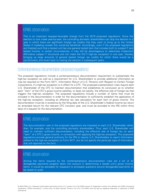This is an important taxpayer-favorable change from the 2019 proposed regulations. Since the election is now made year-by-year, the controlling domestic shareholders can skip the election in a year in which there are significant foreign tax credits that they want to bring up to the United States if modeling reveals this would be beneficial. Accordingly, even if the proposed regulations are finalized such that a tested unit has one general tested item that includes both its subpart F and tested income, in certain circumstances, it may still be advantageous to selectively implement affirmative subpart F structures and not make the GILTI high-tax exception in one year, thereby bringing up large amounts of general basket foreign tax credits for which there would be a carryforward, and revert back to making the election in subsequent years.

#### <span id="page-26-0"></span>Contemporaneous documentation (proposed regulations)

The proposed regulations include a contemporaneous documentation requirement to substantiate the high-tax exception as well as a requirement for U.S. Shareholders to provide additional information as may be required on the Form 5471, Information Return of U.S. Persons with Respect to Certain Foreign Corporations, if a high-tax exception is in effect for a CFC. The proposed substantiation rules require each U.S. Shareholder of the CFC to maintain documentation that establishes its conclusion as to whether each "item" of the CFC's gross income satisfies, or does not satisfy, the effective rate of foreign tax that triggers the high-tax exception. The proposed regulations include a number of items that must be included in the documentation in order for the documentation to sufficiently establish the application of the high-tax exception, including an effective tax rate calculation for each item of gross income. The documentation must be in existence by the filing date of the U.S. Shareholder's federal income tax return (or amended return) for the relevant CFC inclusion year, and must be provided to the IRS within thirty days of a request for the documentation.

#### KPMG observation

The documentation rules in the proposed regulations are imposed on each U.S. Shareholder rather than, for example, only the controlling domestic shareholders. Thus, each U.S. Shareholder will need to maintain sufficient documentation, including the effective rate of foreign tax on each "item" of a CFC's gross income, in connection with applying the high-tax exception. The proposed regulations provide general authority for the IRS to require U.S. Shareholders to report information related to the high-tax exception on Form 5471, but do not specify the particular type of information that will reported on the form.

# KPMG observation

Among the items required by the contemporaneous documentation rules are a list of all disregarded payments properly taken into account in determining a tested unit's gross income items. It would be advisable for taxpayers to anticipate questions around disregarded payments to be raised on audit.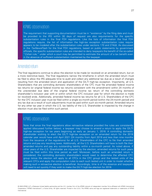The requirement that supporting documentation must be in "existence" by the filing date and must be provided to the IRS within 30 days of request are also requirements for the specific substantiation rules in the final FDII regulations. Like the lists of information the final FDII regulations require, the list of information the high-tax exception substantiation rules require appears to be modeled after the substantiation rules under sections 170 and 274(d). As discussed in the TaxNewsFlash for the final FDII regulations, based on public statements by government officials, the specific substantiation rules are intended to deny taxpayers the benefit of the so-called "Cohan rule," under which a court may be permitted to estimate the amount of a tax benefit even in the absence of sufficient substantiation maintained by the taxpayer.

#### <span id="page-27-0"></span>Amended return

The final regulations continue to allow the election to be made (or revoked) on an amended return, but on a more restrictive basis. The final regulations narrow the timeframe in which the amended return must be filed to allow the IRS adequate time to audit and collect any additional tax due as a result of changes resulting from the amended return and application of the GILTI high-tax exception. Importantly, all U.S. Shareholders that are controlling domestic shareholders of the CFC must file amended federal income tax returns (or original federal income tax returns consistent with the amendment) within 24 months of the unextended due date of the original federal income tax return of the controlling domestic shareholder's inclusion year with or within which the CFC inclusion year for which the election is made (or revoked) ends. Additionally, amended federal income tax returns for all U.S. Shareholders of the CFC for the CFC inclusion year must be filed within a single six-month period (within the 24-month period) and any tax due as a result of such adjustments must be paid within such six-month period. Amended returns for any other tax year in which the U.S. tax liability of the U.S. Shareholder is impacted by the change in election must also be filed within such period.

### KPMG observation

Note that since the final regulations allow retroactive reliance provided the rules are consistently applied (discussed further below), a taxpayer may choose to amend a return to apply the GILTI high-tax exception for tax years beginning as early as January 1, 2018. A controlling domestic shareholder wishing to elect the GILTI high-tax exception on an amended return for the 2018 calendar year would have until April 2021 (24 months from April 2019 and less than nine months from the issuance of the regulations) for all U.S. Shareholders of the CFC to file their amended returns and pay any resulting taxes. Additionally, all the U.S. Shareholders will have to both file their amended returns and pay any outstanding liability within a six-month period. As noted above, if other years of the U.S. Shareholder are impacted by the election, amended returns for such years must be filed within this time period as well. Moreover, before such an amended return is considered, the controlling domestic shareholders would need to determine the affected CFC group (since the election will apply to all CFCs in the CFC group) and the tested units of the relevant CFCs and apply the computation rules to each such tested unit in order to model whether making such a retroactive election is beneficial. Accordingly, time is of the essence and taxpayers will need to act quickly if they wish to make the GILTI high-tax election for 2018.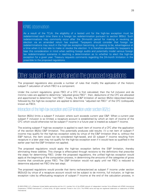As a result of the TCJA, the eligibility of a tested unit for the high-tax exception must be redetermined each time there is a foreign tax redetermination pursuant to section 905(c). Such redeterminations may commonly occur after the 24-month period for making or revoking an election via an amended return has expired. Taxpayers should consider that foreign tax redeterminations may result in the high-tax exception becoming, or ceasing to be, advantageous at a time when it is too late to make or revoke the election. It is therefore advisable for taxpayers to bear this consideration in mind when settling foreign audits and potentially model various foreign tax redetermination scenarios in reaching a determination as to whether to elect the high-tax exception for a given year. Treasury requests comments regarding the 24-month limitation in the preamble to the proposed regulations.

# <span id="page-28-0"></span>Other subpart Frules contained in the proposed regulations

The proposed regulations also provide a number of rules that modify the application of the historic subpart F calculation of which FBCI is a component.

Under the current regulations, gross FBCI of a CFC is first calculated; then the full inclusion and de minimis rules are applied to determine "adjusted gross FBCI"; then, deductions of the CFC are allocated and apportioned to determine "net FBCI"; finally, the E&P limitation of section 952(c) (described below) followed by the high-tax exception are applied to determine "adjusted net FBCI" of the CFC (colloquially known as FBCI).

#### <span id="page-28-1"></span>Interaction of the high-tax exception and E&P limitation under section 952(c)

Section 952(c) limits a subpart F inclusion where such exceeds current year E&P. When a current year subpart F inclusion is so limited, a recapture account is established by which an item of income of the CFC which would otherwise not be subpart F income in a future year is treated as subpart F income.

The existing subpart F high-tax exception is applied to each item of income of a CFC after the application of the section 952(c) E&P limitation. This potentially produces odd results: (1) a net item of subpart F income may qualify for the high-tax exception solely by virtue of the E&P limitation (that is, without the E&P haircut, the item would not be considered high-taxed), and (2) subpart F income resulting from recapture in a later year may not qualify for the high-tax exception even if it would have so qualified in the earlier year had the E&P limitation not applied.

The proposed regulations would apply the high-tax exception before the E&P limitation, thereby eliminating these oddities. This change is effectuated through revisions to the definitions that prescribe the steps for determining FBCI. Under the proposed regulations, the unified high-tax exception would apply at the beginning of the computation process, in determining the amounts of the categories of gross income that constitute gross FBCI. The E&P limitation would not apply until net FBCI is reduced to determine adjusted net FBCI (the last step).

The proposed regulations would provide that items recharacterized as subpart F income under section 952(c)(2) by virtue of a recapture account would not be subject to de minimis, full inclusion, or high-tax exception rules by effectuating recapture of subpart F income at the end of the calculation process, in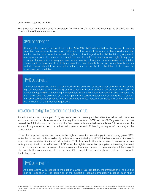determining adjusted net FBCI.

The proposed regulations contain consistent revisions to the definitions outlining the process for the computation of insurance income.

# KPMG observation

Although the current ordering of the section 952(c)(1) E&P limitation before the subpart F high-tax exception can increase the likelihood that an item of income will be treated as high-taxed, it can also result in an item of income that would be high-tax without regard to the E&P limitation giving rise to a recapture account to the extent excluded pursuant to the E&P limitation. Accordingly, it may result in subpart F income in a subsequent year, when there is no foreign income tax available to be taken into account for purposes of the high-tax exception, even though the income would have been fully excluded from subpart F income in the initial year if not for the E&P limitation. In this way, the changes appear equitable.

# KPMG observation

The changes described above, which introduce the exclusion of income that qualifies for the unified high-tax exception at the beginning of the subpart F income computation process and apply the section 952(c)(1) E&P limitation significantly later, reflect a complete reordering of such process. The final regulations also delete all of the examples in the current regulations illustrating the full subpart F income computation process, and the preamble thereto indicates examples will be included with the finalization of the proposed regulations.

#### <span id="page-29-0"></span>Interaction of the high-tax exception and full inclusion rule

As indicated above, the subpart F high-tax exception is currently applied after the full inclusion rule. As such, a coordination rule ensures that if a significant amount (90%) of the CFC's gross income that caused the full inclusion rule to apply in the first instance is excluded from subpart F income under the subpart F high-tax exception, the full inclusion rule is turned off, lending a degree of circularity to the computation.

Under the proposed regulations, because the high-tax exception would apply in determining gross FBCI, while the full inclusion rule would apply in determining adjusted gross FBCI, the high-tax exception would apply before the determination of full inclusion FBCI. As a result, there is no need to reassess income initially determined to be full inclusion FBCI after the high-tax exception is applied, eliminating the need for the existing coordination rule and the complexities that it can create. The proposed regulations would also modify the coordination rules in the final GILTI regulations accordingly and delete the example illustrating them.

### KPMG observation

As noted above with respect to the section 952(c)(1) E&P limitation, the introduction of the unified high-tax exception at the beginning of the subpart F income computation process, such that it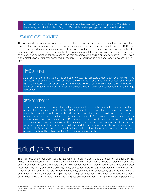applies before the full inclusion test reflects a complete reordering of such process. The deletion of the existing coordination rule in Reg. § 1.954-1(d)(6) is a happy byproduct of that rationalization.

#### <span id="page-30-0"></span>Carryover of recapture accounts

The proposed regulations provide that in a section 381(a) transaction, any recapture account of an acquired foreign corporation carries over to the acquiring foreign corporation even if it is not a CFC. This rule is described as a clarification consistent with existing successor principles. Accordingly, the applicability date differs from the majority of the proposed regulations in applying for recapture accounts of an acquiring corporation for tax years of the foreign corporation ending on or after July 20, 2020, even if the distribution or transfer described in section 381(a) occurred in a tax year ending before July 20, 2020.

### KPMG observation

As a result of the formulation of the applicability date, the recapture account carryover rule can have significant retroactive effect. For example, a calendar year CFC that was a successor in section 381(a) transaction that occurred 20 years ago would be required to ensure that it takes into account this year (and going forward) any recapture account that it would have succeeded in that long ago transaction.

# KPMG observation

The recapture rule and the more illuminating discussion thereof in the preamble conspicuously fail to address the consequences of a section 381(a) transaction in which the acquiring corporation is a domestic corporation. Although such a domestic corporation clearly could not have a recapture account, it is not clear whether a liquidating first-tier CFC's recapture account would simply disappear with no more consequence. Query whether some mechanism similar to section 904(f) could apply to require an inclusion in the acquiring domestic corporation's income to reflect the recapture account at the time of the liquidation, and if it could do so in the absence of guidance to such effect. Arguably, such a rule is not justifiable where all of the income earned by the domestic acquiring entity will be subject to direct U.S. federal income taxation.

# <span id="page-30-1"></span>Applicability dates and reliance

The final regulations generally apply to tax years of foreign corporations that begin on or after July 23, 2020, and to tax years of U.S. Shareholders in which or with which such tax years of foreign corporations end. In addition, taxpayers can rely on the rules for tax years of foreign corporations that begin after December 31, 2017, and before July 23, 2020, and to tax years of U.S. Shareholders in which or with which such tax years of the foreign corporations end, provided they consistently apply the final rules to each year in which they elect to apply the GILTI high-tax exception. The final regulations have been determined to be a "major rule" under the Congressional Review Act ("CRA") and therefore pursuant to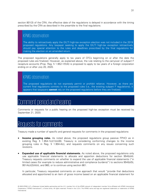section 801(3) of the CRA, the effective date of the regulations is delayed in accordance with the timing prescribed by the CRA as described in the preamble to the final regulations.

#### KPMG observation

The ability to retroactively apply the GILTI high-tax exception election was not included in the 2019 proposed regulations. Any taxpayer seeking to apply the GILTI high-tax exception retroactively should pay special attention to the rules and deadlines prescribed by the final regulations for making the election on an amended return.

The proposed regulations generally apply to tax years of CFCs beginning on or after the date the proposed rules are finalized. However, as explained above, the rule relating to the carryover of subpart F recapture accounts (Prop. Reg. § 1.952-1(f)(4)) is proposed to apply to tax years of a foreign corporation ending on or after July 20, 2020.

# KPMG observation

The proposed regulations do not expressly permit or prohibit reliance. However, as there are current final regulations contrary to the proposed rules (i.e., the existing subpart F regulations), it appears that taxpayers **cannot** rely on the proposed regulations before they are finalized.

# <span id="page-31-0"></span>Comment period and hearing

Comments or requests for a public hearing on the proposed high-tax exception must be received by September 21, 2020.

# <span id="page-31-1"></span>Requests for comments

Treasury made a number of specific and general requests for comments in the proposed regulations:

- **Income grouping rules.** As noted above, the proposed regulations group passive FPHCI as in existing Reg. § 1.954-1(c)(1)(iii)(B). Treasury is considering conforming changes to the income grouping rules in Reg. § 1.904-4(c), and requests comments on any issues concerning such revisions.
- **Expanded use of applicable financial statements.** As noted above, the proposed regulations only use applicable financial statements to allocate and apportion deductions for section 954(b)(4). Treasury requests comments on whether to expand the use of applicable financial statements ("in limited cases (for example to reduce administrative and compliance burdens)") to sections 954(b)(5), 951A(c)(2)(A)(ii), and 960, or to continue using section 861.

In particular, Treasury requested comments on one approach that would "provide that deductions allocated and apportioned to an item of gross income based on an applicable financial statement for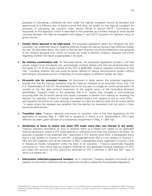purposes of calculating a tentative net item under the high-tax exception cannot be allocated and apportioned to a different item of gross income that does not qualify for the high-tax exception for purposes of calculating the inclusion under section 951(a) or section 951A." Comments are requested on this approach, which is described in the preamble as a limited change to avoid double counting between the high-tax exception and subpart F and GILTI inclusions for different items of gross income.

- **Certain items deemed to be high-taxed.** The proposed regulations deem any tentative net item resulting in an undefined value or negative effective foreign tax rate as having a high effective foreign tax rate. As described above, the result is that the item of gross income and deductions are assigned to the residual grouping from which no foreign tax credit is allowed. Treasury requests comments regarding whether this result is appropriate in all cases.
- **De minimis combination rule.** As discussed above, the proposed requiations provide a rule that would, subject to an anti-abuse rule, automatically combine tested units that are attributed less than the lesser of 1% of the gross income of the CFC or \$250,000. Treasury requests comments on this rule, "including whether the rule could be better tailored to reduce administrative burden without permitting an excessive amount of blending of income subject to different foreign tax rates."
- **24-month rule for amended returns.** As discussed in detail above, the proposed regulations provide that that the high-tax exception may be made (or revoked) on an amended return only if all U.S. Shareholders of the CFC file amended returns for the year in a single six month period within 24 months of the due date (without extension) of the original return of the controlling domestic shareholder. Treasury notes in the preamble that it is "aware that changes in circumstances occurring after the 24-month period may cause a taxpayer to benefit from making (or revoking) the election, for example, if there is a foreign tax redetermination with respect to one or more CFCs," and requests comments on rules allowing a taxpayer to make the election after the 24-month period "in cases where the taxpayer can establish that the election (or revocation) will not result in timebarred tax deficiencies."
- **Transition rules.** Treasury requests comments on transition rules in the final regulations for the application of existing Reg. § 1.954-1(d) to situations in which a U.S. Shareholder's CFCs have different tax years, given the lack of a consistency requirement in Reg. § 1.954-1(d).
- **Attribution of items to tested unit when CFC holds more than one interest in the entity.**  Treasury requests comments on how to attribute items to a tested unit, based on an applicable financial statement, where a CFC holds (directly or indirectly) more than one interest in an entity. An example is posited in the preamble that "assume[s] a CFC directly owns DEX, a disregarded entity that is a tax resident in Country X, and DEY, a disregarded entity that is a tax resident in Country Y. DEX and DEY together own all the interests in DEZ, a disregarded entity organized in Country Z that is viewed as fiscally transparent under the laws of all countries." Treasury specifically requests comments on "how items that are properly reflected on the applicable financial statement of DEZ, and taken into account by CFC, should be attributed to CFC's interests in DEX and DEY, each of which is a tested unit."
- **Information collection/paperwork burdens.** As is customary, Treasury requests comments on all aspects of information collection and any paperwork burdens created by the proposed regulations.

<sup>© 2020</sup> KPMG LLP, a Delaware limited liability partnership and the U.S. member firm of the KPMG network of independent member firms affiliated with KPMG International Cooperative ("KPMG International"), a Swiss entity. All rights reserved. Printed in the U.S.A. The KPMG name and logo are registered trademarks or trademarks of KPMG International.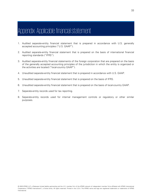# <span id="page-33-0"></span>Appendix: Applicable financial statement

- 1. Audited separate-entity financial statement that is prepared in accordance with U.S. generally accepted accounting principles ("U.S. GAAP").
- 2. Audited separate-entity financial statement that is prepared on the basis of international financial reporting standards ("IFRS").
- 3. Audited separate-entity financial statements of the foreign corporation that are prepared on the basis of the generally accepted accounting principles of the jurisdiction in which the entity is organized or the activities are located ("local-country GAAP").
- 4. Unaudited separate-entity financial statement that is prepared in accordance with U.S. GAAP.
- 5. Unaudited separate-entity financial statement that is prepared on the basis of IFRS.
- 6. Unaudited separate-entity financial statement that is prepared on the basis of local-country GAAP.
- 7. Separate-entity records used for tax reporting.
- 8. Separate-entity records used for internal management controls or regulatory or other similar purposes.